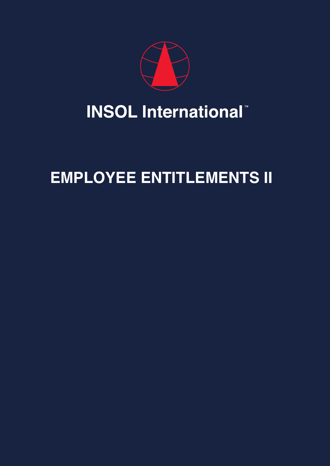

# **INSOL International**

## **EMPLOYEE ENTITLEMENTS II**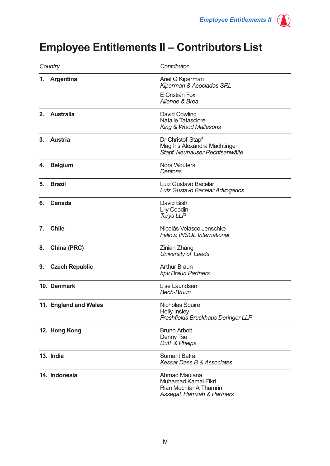### **Employee Entitlements II – Contributors List**

| Country |                       | Contributor                                                                                        |
|---------|-----------------------|----------------------------------------------------------------------------------------------------|
|         | 1. Argentina          | Ariel G Kiperman<br>Kiperman & Asociados SRL<br>E Cristián Fox<br>Allende & Brea                   |
| 2.      | <b>Australia</b>      | David Cowling<br><b>Natalie Tatasciore</b><br>King & Wood Mallesons                                |
| 3.      | <b>Austria</b>        | Dr Christof Stapf<br>Mag Iris Alexandra Machtinger<br>Stapf Neuhauser Rechtsanwälte                |
| 4.      | <b>Belgium</b>        | <b>Nora Wouters</b><br>Dentons                                                                     |
| 5.      | <b>Brazil</b>         | Luiz Gustavo Bacelar<br>Luiz Gustavo Bacelar Advogados                                             |
| 6.      | Canada                | David Bish<br>Lily Coodin<br><b>Torys LLP</b>                                                      |
| 7.      | <b>Chile</b>          | Nicolás Velasco Jenschke<br>Fellow, INSOL International                                            |
| 8.      | China (PRC)           | <b>Zinian Zhang</b><br>University of Leeds                                                         |
| 9.      | <b>Czech Republic</b> | <b>Arthur Braun</b><br>bpv Braun Partners                                                          |
|         | 10. Denmark           | Lise Lauridsen<br><b>Bech-Bruun</b>                                                                |
|         | 11. England and Wales | Nicholas Squire<br><b>Holly Insley</b><br>Freshfields Bruckhaus Deringer LLP                       |
|         | 12. Hong Kong         | <b>Bruno Arboit</b><br>Denny Tse<br>Duff & Phelps                                                  |
|         | 13. India             | <b>Sumant Batra</b><br>Kessar Dass B & Associates                                                  |
|         | 14. Indonesia         | Ahmad Maulana<br><b>Muhamad Kamal Fikri</b><br>Rian Mochtar A Thamrin<br>Assegaf Hamzah & Partners |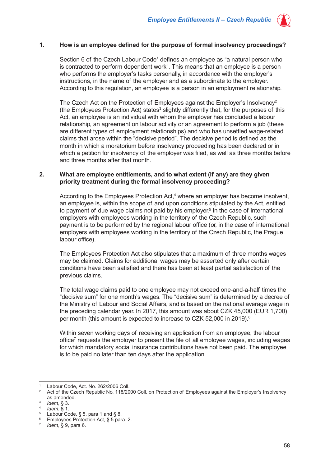

#### **1. How is an employee defined for the purpose of formal insolvency proceedings?**

Section 6 of the Czech Labour Code<sup>1</sup> defines an employee as "a natural person who is contracted to perform dependent work". This means that an employee is a person who performs the employer's tasks personally, in accordance with the employer's instructions, in the name of the employer and as a subordinate to the employer. According to this regulation, an employee is a person in an employment relationship.

The Czech Act on the Protection of Employees against the Employer's Insolvency<sup>2</sup> (the Employees Protection Act) states<sup>3</sup> slightly differently that, for the purposes of this Act, an employee is an individual with whom the employer has concluded a labour relationship, an agreement on labour activity or an agreement to perform a job (these are different types of employment relationships) and who has unsettled wage-related claims that arose within the "decisive period". The decisive period is defined as the month in which a moratorium before insolvency proceeding has been declared or in which a petition for insolvency of the employer was filed, as well as three months before and three months after that month.

#### **2. What are employee entitlements, and to what extent (if any) are they given priority treatment during the formal insolvency proceeding?**

According to the Employees Protection Act,<sup>4</sup> where an employer has become insolvent, an employee is, within the scope of and upon conditions stipulated by the Act, entitled to payment of due wage claims not paid by his employer.<sup>5</sup> In the case of international employers with employees working in the territory of the Czech Republic, such payment is to be performed by the regional labour office (or, in the case of international employers with employees working in the territory of the Czech Republic, the Prague labour office).

The Employees Protection Act also stipulates that a maximum of three months wages may be claimed. Claims for additional wages may be asserted only after certain conditions have been satisfied and there has been at least partial satisfaction of the previous claims.

The total wage claims paid to one employee may not exceed one-and-a-half times the "decisive sum" for one month's wages. The "decisive sum" is determined by a decree of the Ministry of Labour and Social Affairs, and is based on the national average wage in the preceding calendar year. In 2017, this amount was about CZK 45,000 (EUR 1,700) per month (this amount is expected to increase to CZK 52,000 in 2019).<sup>6</sup>

Within seven working days of receiving an application from an employee, the labour office<sup>7</sup> requests the employer to present the file of all employee wages, including wages for which mandatory social insurance contributions have not been paid. The employee is to be paid no later than ten days after the application.

<sup>&</sup>lt;sup>1</sup> Labour Code, Act. No. 262/2006 Coll.<br><sup>2</sup> Act of the Czech Benublic No. 118/20

<sup>2</sup> Act of the Czech Republic No. 118/2000 Coll. on Protection of Employees against the Employer's Insolvency as amended.

<sup>3</sup> *Idem*, § 3.

*Idem*, § 1.<br>Labour Code, § 5, para 1 and § 8.

Employees Protection Act, § 5 para. 2.

*Idem*, § 9, para 6.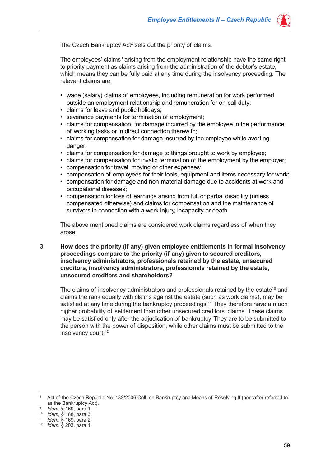

The employees' claims<sup>9</sup> arising from the employment relationship have the same right to priority payment as claims arising from the administration of the debtor's estate, which means they can be fully paid at any time during the insolvency proceeding. The relevant claims are:

- wage (salary) claims of employees, including remuneration for work performed outside an employment relationship and remuneration for on-call duty;
- claims for leave and public holidays;
- severance payments for termination of employment;
- claims for compensation for damage incurred by the employee in the performance of working tasks or in direct connection therewith;
- claims for compensation for damage incurred by the employee while averting danger:
- claims for compensation for damage to things brought to work by employee;
- claims for compensation for invalid termination of the employment by the employer;
- compensation for travel, moving or other expenses;
- compensation of employees for their tools, equipment and items necessary for work;
- compensation for damage and non-material damage due to accidents at work and occupational diseases;
- compensation for loss of earnings arising from full or partial disability (unless compensated otherwise) and claims for compensation and the maintenance of survivors in connection with a work injury, incapacity or death.

The above mentioned claims are considered work claims regardless of when they arose.

#### **3. How does the priority (if any) given employee entitlements in formal insolvency proceedings compare to the priority (if any) given to secured creditors, insolvency administrators, professionals retained by the estate, unsecured creditors, insolvency administrators, professionals retained by the estate, unsecured creditors and shareholders?**

The claims of insolvency administrators and professionals retained by the estate<sup>10</sup> and claims the rank equally with claims against the estate (such as work claims), may be satisfied at any time during the bankruptcy proceedings.<sup>11</sup> They therefore have a much higher probability of settlement than other unsecured creditors' claims. These claims may be satisfied only after the adjudication of bankruptcy. They are to be submitted to the person with the power of disposition, while other claims must be submitted to the insolvency court.<sup>12</sup>

<sup>&</sup>lt;sup>8</sup> Act of the Czech Republic No. 182/2006 Coll. on Bankruptcy and Means of Resolving It (hereafter referred to as the Bankruptcy Act). 9 *Idem*, § 169, para 1.

<sup>10</sup> *Idem,* § 168, para 3.

<sup>11</sup> *Idem*, § 169, para 2.

<sup>12</sup> *Idem*, § 203, para 1.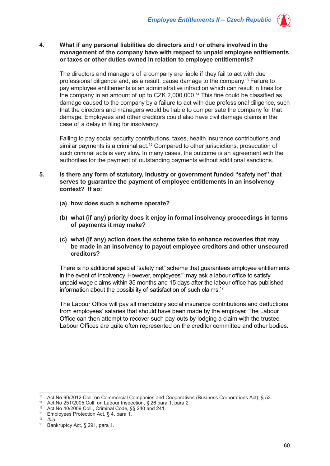

#### **4. What if any personal liabilities do directors and / or others involved in the management of the company have with respect to unpaid employee entitlements or taxes or other duties owned in relation to employee entitlements?**

The directors and managers of a company are liable if they fail to act with due professional diligence and, as a result, cause damage to the company.13 Failure to pay employee entitlements is an administrative infraction which can result in fines for the company in an amount of up to CZK 2,000,000.14 This fine could be classified as damage caused to the company by a failure to act with due professional diligence, such that the directors and managers would be liable to compensate the company for that damage. Employees and other creditors could also have civil damage claims in the case of a delay in filing for insolvency.

Failing to pay social security contributions, taxes, health insurance contributions and similar payments is a criminal act.15 Compared to other jurisdictions, prosecution of such criminal acts is very slow. In many cases, the outcome is an agreement with the authorities for the payment of outstanding payments without additional sanctions.

- **5. Is there any form of statutory, industry or government funded "safety net" that serves to guarantee the payment of employee entitlements in an insolvency context? If so:** 
	- **(a) how does such a scheme operate?**
	- **(b) what (if any) priority does it enjoy in formal insolvency proceedings in terms of payments it may make?**
	- **(c) what (if any) action does the scheme take to enhance recoveries that may be made in an insolvency to payout employee creditors and other unsecured creditors?**

There is no additional special "safety net" scheme that guarantees employee entitlements in the event of insolvency. However, employees<sup>16</sup> may ask a labour office to satisfy unpaid wage claims within 35 months and 15 days after the labour office has published information about the possibility of satisfaction of such claims.17

The Labour Office will pay all mandatory social insurance contributions and deductions from employees' salaries that should have been made by the employer. The Labour Office can then attempt to recover such pay-outs by lodging a claim with the trustee. Labour Offices are quite often represented on the creditor committee and other bodies.

<sup>13</sup> Act No 90/2012 Coll. on Commercial Companies and Cooperatives (Business Corporations Act), § 53.

<sup>14</sup> Act No 251/2005 Coll. on Labour Inspection, § 26 para 1, para 2.

<sup>15</sup> Act No 40/2009 Coll., Criminal Code, §§ 240 and 241.

<sup>16</sup> Employees Protection Act, § 4, para 1.

<sup>17</sup> *Ibid*.

<sup>18</sup> Bankruptcy Act, § 291, para 1.